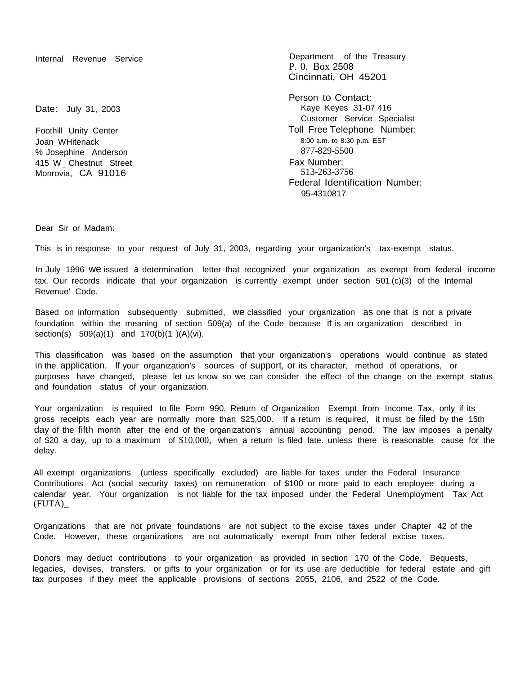Date: July 31, 2003

Foothill Unity Center Joan WHitenack % Josephine Anderson 415 W Chestnut Street Monrovia, CA 91016

Internal Revenue Service **Department** of the Treasury P. 0. Box 2508 Cincinnati, OH 45201

> Person to Contact: Kaye Keyes 31-07 416 Customer Service Specialist Toll Free Telephone Number: 8:00 a.m. to 8:30 p.m. EST 877-829-5500 Fax Number: 513-263-3756 Federal Identification Number: 95-4310817

Dear Sir or Madam:

This is in response to your request of July 31, 2003, regarding your organization's tax-exempt status.

In July 1996 we issued a determination letter that recognized your organization as exempt from federal income tax. Our records indicate that your organization is currently exempt under section 501 (c)(3) of the Internal Revenue' Code.

Based on information subsequently submitted, we classified your organization as one that is not a private foundation within the meaning of section 509(a) of the Code because it is an organization described in section(s) 509(a)(1) and 170(b)(1)(A)(vi).

This classification was based on the assumption that your organization's operations would continue as stated in the application. If your organization's sources of support, or its character, method of operations, or purposes have changed, please let us know so we can consider the effect of the change on the exempt status and foundation status of your organization.

Your organization is required to file Form 990, Return of Organization Exempt from Income Tax, only if its gross receipts each year are normally more than \$25,000. If a return is required, it must be filed by the 15th day of the fifth month after the end of the organization's annual accounting period. The law imposes a penalty of \$20 a day, up to a maximum of \$10,000, when a return is filed late. unless there is reasonable cause for the delay.

All exempt organizations (unless specifically excluded) are liable for taxes under the Federal Insurance Contributions Act (social security taxes) on remuneration of \$100 or more paid to each employee during a calendar year. Your organization is not liable for the tax imposed under the Federal Unemployment Tax Act (FUTA)\_

Organizations that are not private foundations are not subject to the excise taxes under Chapter 42 of the Code. However, these organizations are not automatically exempt from other federal excise taxes.

Donors may deduct contributions to your organization as provided in section 170 of the Code. Bequests, legacies, devises, transfers. or gifts to your organization or for its use are deductible for federal estate and gift tax purposes if they meet the applicable provisions of sections 2055, 2106, and 2522 of the Code.